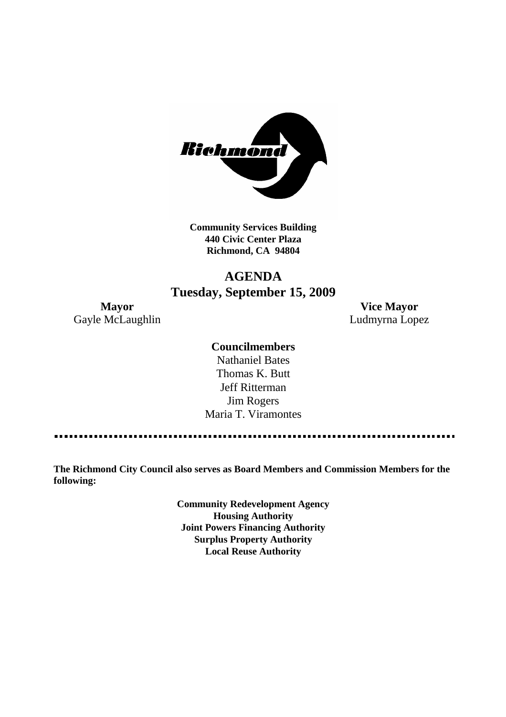

**Community Services Building 440 Civic Center Plaza Richmond, CA 94804**

# **AGENDA Tuesday, September 15, 2009**

Gayle McLaughlin **Ludmyrna Lopez** 

**Mayor Vice Mayor**

# **Councilmembers**

Nathaniel Bates Thomas K. Butt Jeff Ritterman Jim Rogers Maria T. Viramontes

**The Richmond City Council also serves as Board Members and Commission Members for the following:**

> **Community Redevelopment Agency Housing Authority Joint Powers Financing Authority Surplus Property Authority Local Reuse Authority**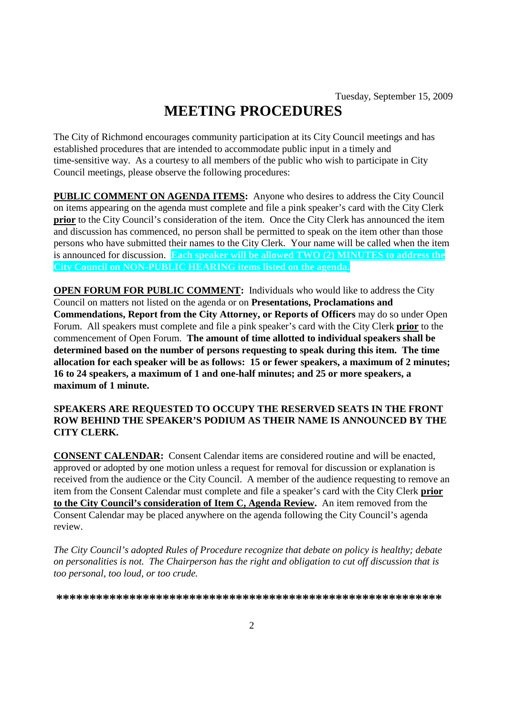# **MEETING PROCEDURES**

The City of Richmond encourages community participation at its City Council meetings and has established procedures that are intended to accommodate public input in a timely and time-sensitive way. As a courtesy to all members of the public who wish to participate in City Council meetings, please observe the following procedures:

**PUBLIC COMMENT ON AGENDA ITEMS:** Anyone who desires to address the City Council on items appearing on the agenda must complete and file a pink speaker's card with the City Clerk **prior** to the City Council's consideration of the item. Once the City Clerk has announced the item and discussion has commenced, no person shall be permitted to speak on the item other than those persons who have submitted their names to the City Clerk. Your name will be called when the item is announced for discussion. **Each speaker will be allowed TWO (2) MINUTES to address the City Council on NON-PUBLIC HEARING items listed on the agenda.**

**OPEN FORUM FOR PUBLIC COMMENT:** Individuals who would like to address the City Council on matters not listed on the agenda or on **Presentations, Proclamations and Commendations, Report from the City Attorney, or Reports of Officers** may do so under Open Forum. All speakers must complete and file a pink speaker's card with the City Clerk **prior** to the commencement of Open Forum. **The amount of time allotted to individual speakers shall be determined based on the number of persons requesting to speak during this item. The time allocation for each speaker will be as follows: 15 or fewer speakers, a maximum of 2 minutes; 16 to 24 speakers, a maximum of 1 and one-half minutes; and 25 or more speakers, a maximum of 1 minute.**

### **SPEAKERS ARE REQUESTED TO OCCUPY THE RESERVED SEATS IN THE FRONT ROW BEHIND THE SPEAKER'S PODIUM AS THEIR NAME IS ANNOUNCED BY THE CITY CLERK.**

**CONSENT CALENDAR:** Consent Calendar items are considered routine and will be enacted, approved or adopted by one motion unless a request for removal for discussion or explanation is received from the audience or the City Council. A member of the audience requesting to remove an item from the Consent Calendar must complete and file a speaker's card with the City Clerk **prior to the City Council's consideration of Item C, Agenda Review.** An item removed from the Consent Calendar may be placed anywhere on the agenda following the City Council's agenda review.

*The City Council's adopted Rules of Procedure recognize that debate on policy is healthy; debate on personalities is not. The Chairperson has the right and obligation to cut off discussion that is too personal, too loud, or too crude.*

**\*\*\*\*\*\*\*\*\*\*\*\*\*\*\*\*\*\*\*\*\*\*\*\*\*\*\*\*\*\*\*\*\*\*\*\*\*\*\*\*\*\*\*\*\*\*\*\*\*\*\*\*\*\*\*\*\*\***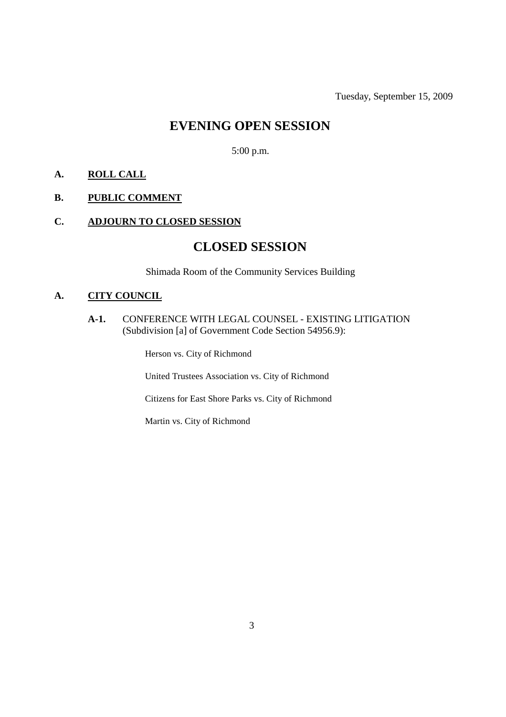Tuesday, September 15, 2009

# **EVENING OPEN SESSION**

5:00 p.m.

# **A. ROLL CALL**

# **B. PUBLIC COMMENT**

# **C. ADJOURN TO CLOSED SESSION**

# **CLOSED SESSION**

Shimada Room of the Community Services Building

# **A. CITY COUNCIL**

### **A-1.** CONFERENCE WITH LEGAL COUNSEL - EXISTING LITIGATION (Subdivision [a] of Government Code Section 54956.9):

Herson vs. City of Richmond

United Trustees Association vs. City of Richmond

Citizens for East Shore Parks vs. City of Richmond

Martin vs. City of Richmond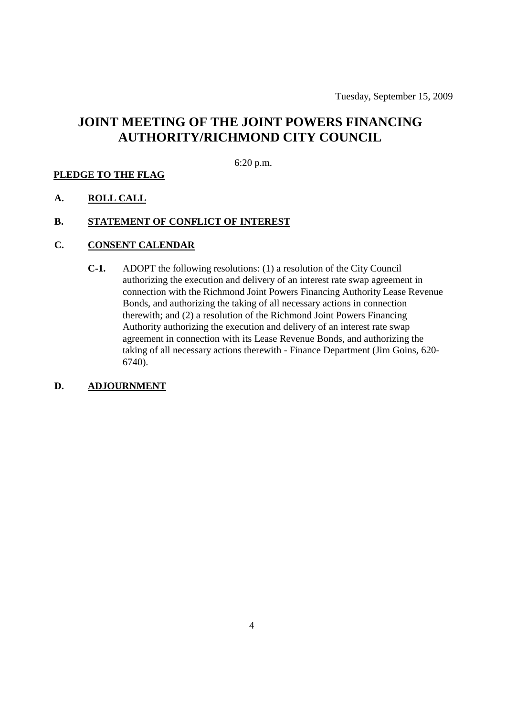# **JOINT MEETING OF THE JOINT POWERS FINANCING AUTHORITY/RICHMOND CITY COUNCIL**

6:20 p.m.

### **PLEDGE TO THE FLAG**

**A. ROLL CALL**

### **B. STATEMENT OF CONFLICT OF INTEREST**

- **C. CONSENT CALENDAR**
	- **C-1.** ADOPT the following resolutions: (1) a resolution of the City Council authorizing the execution and delivery of an interest rate swap agreement in connection with the Richmond Joint Powers Financing Authority Lease Revenue Bonds, and authorizing the taking of all necessary actions in connection therewith; and (2) a resolution of the Richmond Joint Powers Financing Authority authorizing the execution and delivery of an interest rate swap agreement in connection with its Lease Revenue Bonds, and authorizing the taking of all necessary actions therewith - Finance Department (Jim Goins, 620- 6740).

### **D. ADJOURNMENT**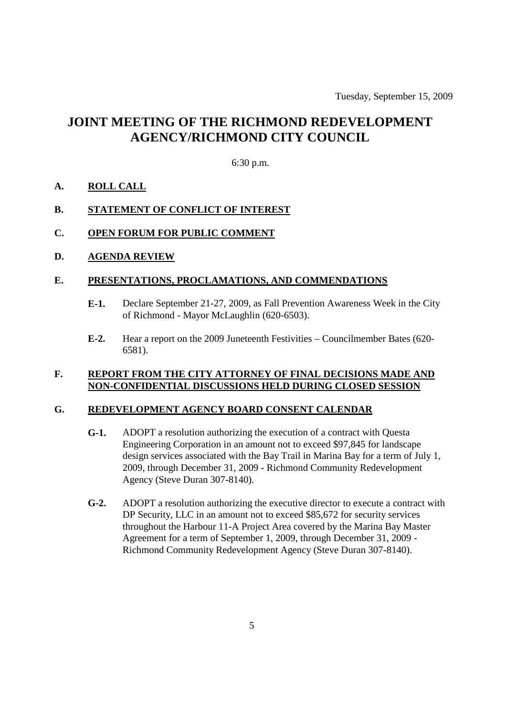# **JOINT MEETING OF THE RICHMOND REDEVELOPMENT AGENCY/RICHMOND CITY COUNCIL**

### 6:30 p.m.

### **A. ROLL CALL**

### **B. STATEMENT OF CONFLICT OF INTEREST**

### **C. OPEN FORUM FOR PUBLIC COMMENT**

### **D. AGENDA REVIEW**

#### **E. PRESENTATIONS, PROCLAMATIONS, AND COMMENDATIONS**

- **E-1.** Declare September 21-27, 2009, as Fall Prevention Awareness Week in the City of Richmond - Mayor McLaughlin (620-6503).
- **E-2.** Hear a report on the 2009 Juneteenth Festivities Councilmember Bates (620- 6581).

### **F. REPORT FROM THE CITY ATTORNEY OF FINAL DECISIONS MADE AND NON-CONFIDENTIAL DISCUSSIONS HELD DURING CLOSED SESSION**

### **G. REDEVELOPMENT AGENCY BOARD CONSENT CALENDAR**

- **G-1.** ADOPT a resolution authorizing the execution of a contract with Questa Engineering Corporation in an amount not to exceed \$97,845 for landscape design services associated with the Bay Trail in Marina Bay for a term of July 1, 2009, through December 31, 2009 - Richmond Community Redevelopment Agency (Steve Duran 307-8140).
- **G-2.** ADOPT a resolution authorizing the executive director to execute a contract with DP Security, LLC in an amount not to exceed \$85,672 for security services throughout the Harbour 11-A Project Area covered by the Marina Bay Master Agreement for a term of September 1, 2009, through December 31, 2009 - Richmond Community Redevelopment Agency (Steve Duran 307-8140).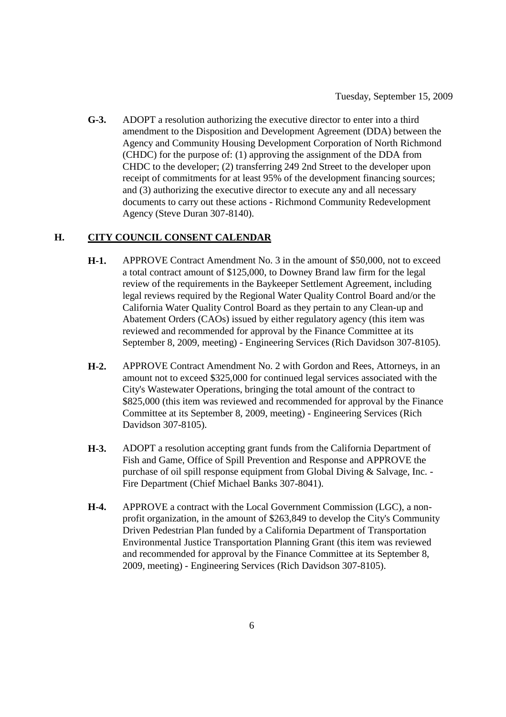**G-3.** ADOPT a resolution authorizing the executive director to enter into a third amendment to the Disposition and Development Agreement (DDA) between the Agency and Community Housing Development Corporation of North Richmond (CHDC) for the purpose of: (1) approving the assignment of the DDA from CHDC to the developer; (2) transferring 249 2nd Street to the developer upon receipt of commitments for at least 95% of the development financing sources; and (3) authorizing the executive director to execute any and all necessary documents to carry out these actions - Richmond Community Redevelopment Agency (Steve Duran 307-8140).

# **H. CITY COUNCIL CONSENT CALENDAR**

- **H-1.** APPROVE Contract Amendment No. 3 in the amount of \$50,000, not to exceed a total contract amount of \$125,000, to Downey Brand law firm for the legal review of the requirements in the Baykeeper Settlement Agreement, including legal reviews required by the Regional Water Quality Control Board and/or the California Water Quality Control Board as they pertain to any Clean-up and Abatement Orders (CAOs) issued by either regulatory agency (this item was reviewed and recommended for approval by the Finance Committee at its September 8, 2009, meeting) - Engineering Services (Rich Davidson 307-8105).
- **H-2.** APPROVE Contract Amendment No. 2 with Gordon and Rees, Attorneys, in an amount not to exceed \$325,000 for continued legal services associated with the City's Wastewater Operations, bringing the total amount of the contract to \$825,000 (this item was reviewed and recommended for approval by the Finance Committee at its September 8, 2009, meeting) - Engineering Services (Rich Davidson 307-8105).
- **H-3.** ADOPT a resolution accepting grant funds from the California Department of Fish and Game, Office of Spill Prevention and Response and APPROVE the purchase of oil spill response equipment from Global Diving & Salvage, Inc. - Fire Department (Chief Michael Banks 307-8041).
- **H-4.** APPROVE a contract with the Local Government Commission (LGC), a nonprofit organization, in the amount of \$263,849 to develop the City's Community Driven Pedestrian Plan funded by a California Department of Transportation Environmental Justice Transportation Planning Grant (this item was reviewed and recommended for approval by the Finance Committee at its September 8, 2009, meeting) - Engineering Services (Rich Davidson 307-8105).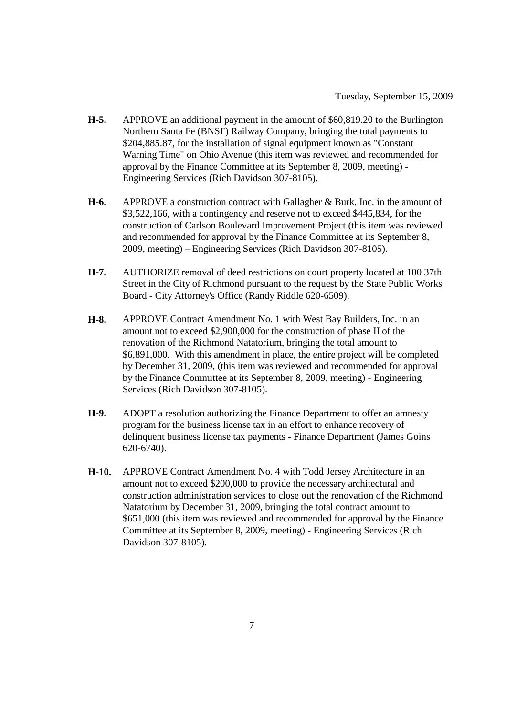- **H-5.** APPROVE an additional payment in the amount of \$60,819.20 to the Burlington Northern Santa Fe (BNSF) Railway Company, bringing the total payments to \$204,885.87, for the installation of signal equipment known as "Constant Warning Time" on Ohio Avenue (this item was reviewed and recommended for approval by the Finance Committee at its September 8, 2009, meeting) - Engineering Services (Rich Davidson 307-8105).
- **H-6.** APPROVE a construction contract with Gallagher & Burk, Inc. in the amount of \$3,522,166, with a contingency and reserve not to exceed \$445,834, for the construction of Carlson Boulevard Improvement Project (this item was reviewed and recommended for approval by the Finance Committee at its September 8, 2009, meeting) – Engineering Services (Rich Davidson 307-8105).
- **H-7.** AUTHORIZE removal of deed restrictions on court property located at 100 37th Street in the City of Richmond pursuant to the request by the State Public Works Board - City Attorney's Office (Randy Riddle 620-6509).
- **H-8.** APPROVE Contract Amendment No. 1 with West Bay Builders, Inc. in an amount not to exceed \$2,900,000 for the construction of phase II of the renovation of the Richmond Natatorium, bringing the total amount to \$6,891,000. With this amendment in place, the entire project will be completed by December 31, 2009, (this item was reviewed and recommended for approval by the Finance Committee at its September 8, 2009, meeting) - Engineering Services (Rich Davidson 307-8105).
- **H-9.** ADOPT a resolution authorizing the Finance Department to offer an amnesty program for the business license tax in an effort to enhance recovery of delinquent business license tax payments - Finance Department (James Goins 620-6740).
- **H-10.** APPROVE Contract Amendment No. 4 with Todd Jersey Architecture in an amount not to exceed \$200,000 to provide the necessary architectural and construction administration services to close out the renovation of the Richmond Natatorium by December 31, 2009, bringing the total contract amount to \$651,000 (this item was reviewed and recommended for approval by the Finance Committee at its September 8, 2009, meeting) - Engineering Services (Rich Davidson 307-8105).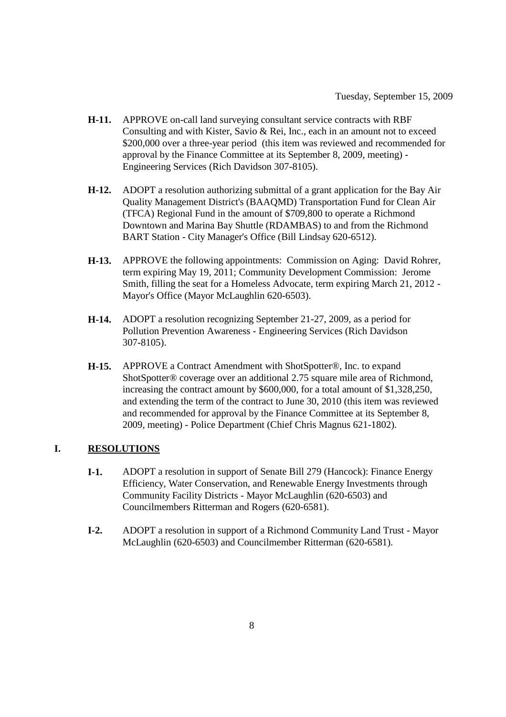- **H-11.** APPROVE on-call land surveying consultant service contracts with RBF Consulting and with Kister, Savio & Rei, Inc., each in an amount not to exceed \$200,000 over a three-year period (this item was reviewed and recommended for approval by the Finance Committee at its September 8, 2009, meeting) - Engineering Services (Rich Davidson 307-8105).
- **H-12.** ADOPT a resolution authorizing submittal of a grant application for the Bay Air Quality Management District's (BAAQMD) Transportation Fund for Clean Air (TFCA) Regional Fund in the amount of \$709,800 to operate a Richmond Downtown and Marina Bay Shuttle (RDAMBAS) to and from the Richmond BART Station - City Manager's Office (Bill Lindsay 620-6512).
- **H-13.** APPROVE the following appointments: Commission on Aging: David Rohrer, term expiring May 19, 2011; Community Development Commission: Jerome Smith, filling the seat for a Homeless Advocate, term expiring March 21, 2012 - Mayor's Office (Mayor McLaughlin 620-6503).
- **H-14.** ADOPT a resolution recognizing September 21-27, 2009, as a period for Pollution Prevention Awareness - Engineering Services (Rich Davidson 307-8105).
- **H-15.** APPROVE a Contract Amendment with ShotSpotter®, Inc. to expand ShotSpotter® coverage over an additional 2.75 square mile area of Richmond, increasing the contract amount by \$600,000, for a total amount of \$1,328,250, and extending the term of the contract to June 30, 2010 (this item was reviewed and recommended for approval by the Finance Committee at its September 8, 2009, meeting) - Police Department (Chief Chris Magnus 621-1802).

# **I. RESOLUTIONS**

- **I-1.** ADOPT a resolution in support of Senate Bill 279 (Hancock): Finance Energy Efficiency, Water Conservation, and Renewable Energy Investments through Community Facility Districts - Mayor McLaughlin (620-6503) and Councilmembers Ritterman and Rogers (620-6581).
- **I-2.** ADOPT a resolution in support of a Richmond Community Land Trust Mayor McLaughlin (620-6503) and Councilmember Ritterman (620-6581).